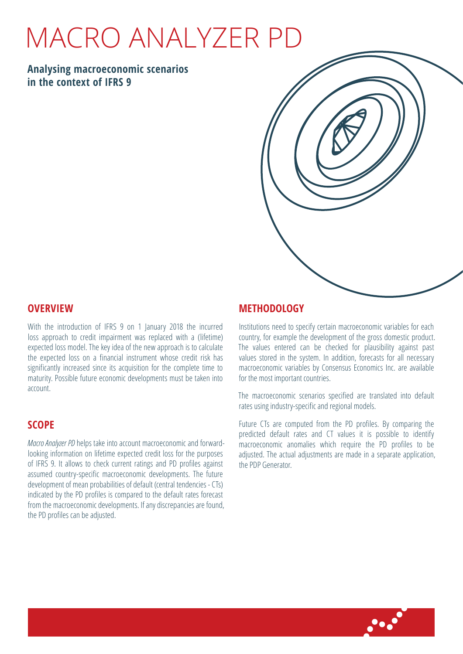# Macro Analyzer PD

## **Analysing macroeconomic scenarios in the context of IFRS 9**



#### **Overview**

With the introduction of IFRS 9 on 1 January 2018 the incurred loss approach to credit impairment was replaced with a (lifetime) expected loss model. The key idea of the new approach is to calculate the expected loss on a financial instrument whose credit risk has significantly increased since its acquisition for the complete time to maturity. Possible future economic developments must be taken into account.

## **Scope**

*Macro Analyzer PD* helps take into account macroeconomic and forwardlooking information on lifetime expected credit loss for the purposes of IFRS 9. It allows to check current ratings and PD profiles against assumed country-specific macroeconomic developments. The future development of mean probabilities of default (central tendencies - CTs) indicated by the PD profiles is compared to the default rates forecast from the macroeconomic developments. If any discrepancies are found, the PD profiles can be adjusted.

## **Methodology**

Institutions need to specify certain macroeconomic variables for each country, for example the development of the gross domestic product. The values entered can be checked for plausibility against past values stored in the system. In addition, forecasts for all necessary macroeconomic variables by Consensus Economics Inc. are available for the most important countries.

The macroeconomic scenarios specified are translated into default rates using industry-specific and regional models.

Future CTs are computed from the PD profiles. By comparing the predicted default rates and CT values it is possible to identify macroeconomic anomalies which require the PD profiles to be adjusted. The actual adjustments are made in a separate application, the PDP Generator.